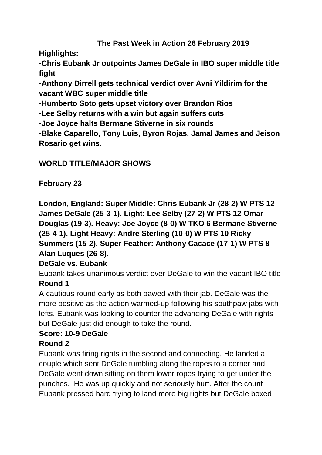### **The Past Week in Action 26 February 2019**

**Highlights:**

**-Chris Eubank Jr outpoints James DeGale in IBO super middle title fight**

**-Anthony Dirrell gets technical verdict over Avni Yildirim for the vacant WBC super middle title**

**-Humberto Soto gets upset victory over Brandon Rios**

**-Lee Selby returns with a win but again suffers cuts**

**-Joe Joyce halts Bermane Stiverne in six rounds**

**-Blake Caparello, Tony Luis, Byron Rojas, Jamal James and Jeison Rosario get wins.**

## **WORLD TITLE/MAJOR SHOWS**

# **February 23**

**London, England: Super Middle: Chris Eubank Jr (28-2) W PTS 12 James DeGale (25-3-1). Light: Lee Selby (27-2) W PTS 12 Omar Douglas (19-3). Heavy: Joe Joyce (8-0) W TKO 6 Bermane Stiverne (25-4-1). Light Heavy: Andre Sterling (10-0) W PTS 10 Ricky Summers (15-2). Super Feather: Anthony Cacace (17-1) W PTS 8 Alan Luques (26-8).**

## **DeGale vs. Eubank**

Eubank takes unanimous verdict over DeGale to win the vacant IBO title **Round 1**

A cautious round early as both pawed with their jab. DeGale was the more positive as the action warmed-up following his southpaw jabs with lefts. Eubank was looking to counter the advancing DeGale with rights but DeGale just did enough to take the round.

# **Score: 10-9 DeGale**

## **Round 2**

Eubank was firing rights in the second and connecting. He landed a couple which sent DeGale tumbling along the ropes to a corner and DeGale went down sitting on them lower ropes trying to get under the punches. He was up quickly and not seriously hurt. After the count Eubank pressed hard trying to land more big rights but DeGale boxed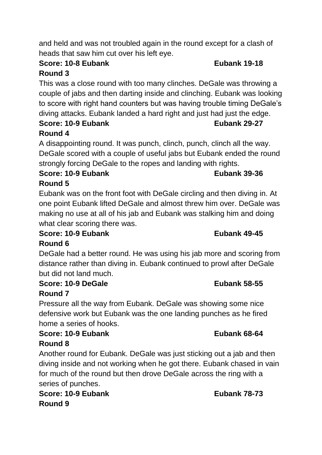and held and was not troubled again in the round except for a clash of heads that saw him cut over his left eye.

# **Score: 10-8 Eubank Eubank 19-18**

# **Round 3**

This was a close round with too many clinches. DeGale was throwing a couple of jabs and then darting inside and clinching. Eubank was looking to score with right hand counters but was having trouble timing DeGale's diving attacks. Eubank landed a hard right and just had just the edge.

# **Score: 10-9 Eubank Eubank Eubank 29-27**

# **Round 4**

A disappointing round. It was punch, clinch, punch, clinch all the way. DeGale scored with a couple of useful jabs but Eubank ended the round strongly forcing DeGale to the ropes and landing with rights.

**Score: 10-9 Eubank Eubank 39-36 Round 5**

Eubank was on the front foot with DeGale circling and then diving in. At one point Eubank lifted DeGale and almost threw him over. DeGale was making no use at all of his jab and Eubank was stalking him and doing what clear scoring there was.

## **Score: 10-9 Eubank Eubank 49-45**

# **Round 6**

DeGale had a better round. He was using his jab more and scoring from distance rather than diving in. Eubank continued to prowl after DeGale but did not land much.

# **Score: 10-9 DeGale Eubank 58-55**

## **Round 7**

Pressure all the way from Eubank. DeGale was showing some nice defensive work but Eubank was the one landing punches as he fired home a series of hooks.

### **Score: 10-9 Eubank Eubank 68-64 Round 8**

Another round for Eubank. DeGale was just sticking out a jab and then diving inside and not working when he got there. Eubank chased in vain for much of the round but then drove DeGale across the ring with a series of punches.

**Score: 10-9 Eubank Eubank 78-73 Round 9**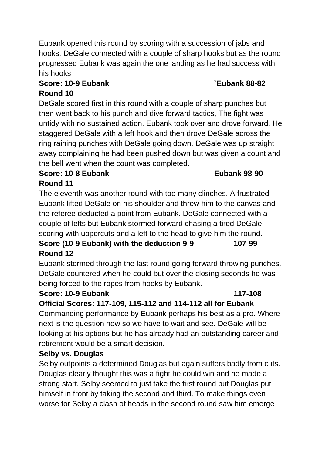Eubank opened this round by scoring with a succession of jabs and hooks. DeGale connected with a couple of sharp hooks but as the round progressed Eubank was again the one landing as he had success with his hooks

# **Score: 10-9 Eubank `Eubank 88-82**

### **Round 10**

DeGale scored first in this round with a couple of sharp punches but then went back to his punch and dive forward tactics, The fight was untidy with no sustained action. Eubank took over and drove forward. He staggered DeGale with a left hook and then drove DeGale across the ring raining punches with DeGale going down. DeGale was up straight away complaining he had been pushed down but was given a count and the bell went when the count was completed.

### **Score: 10-8 Eubank Eubank 98-90 Round 11**

The eleventh was another round with too many clinches. A frustrated Eubank lifted DeGale on his shoulder and threw him to the canvas and the referee deducted a point from Eubank. DeGale connected with a couple of lefts but Eubank stormed forward chasing a tired DeGale scoring with uppercuts and a left to the head to give him the round.

# **Score (10-9 Eubank) with the deduction 9-9 107-99 Round 12**

Eubank stormed through the last round going forward throwing punches. DeGale countered when he could but over the closing seconds he was being forced to the ropes from hooks by Eubank.

### **Score: 10-9 Eubank 117-108**

### **Official Scores: 117-109, 115-112 and 114-112 all for Eubank**

Commanding performance by Eubank perhaps his best as a pro. Where next is the question now so we have to wait and see. DeGale will be looking at his options but he has already had an outstanding career and retirement would be a smart decision.

## **Selby vs. Douglas**

Selby outpoints a determined Douglas but again suffers badly from cuts. Douglas clearly thought this was a fight he could win and he made a strong start. Selby seemed to just take the first round but Douglas put himself in front by taking the second and third. To make things even worse for Selby a clash of heads in the second round saw him emerge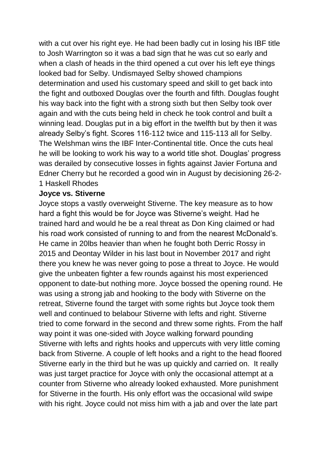with a cut over his right eye. He had been badly cut in losing his IBF title to Josh Warrington so it was a bad sign that he was cut so early and when a clash of heads in the third opened a cut over his left eye things looked bad for Selby. Undismayed Selby showed champions determination and used his customary speed and skill to get back into the fight and outboxed Douglas over the fourth and fifth. Douglas fought his way back into the fight with a strong sixth but then Selby took over again and with the cuts being held in check he took control and built a winning lead. Douglas put in a big effort in the twelfth but by then it was already Selby's fight. Scores 116-112 twice and 115-113 all for Selby. The Welshman wins the IBF Inter-Continental title. Once the cuts heal he will be looking to work his way to a world title shot. Douglas' progress was derailed by consecutive losses in fights against Javier Fortuna and Edner Cherry but he recorded a good win in August by decisioning 26-2- 1 Haskell Rhodes

### **Joyce vs. Stiverne**

Joyce stops a vastly overweight Stiverne. The key measure as to how hard a fight this would be for Joyce was Stiverne's weight. Had he trained hard and would he be a real threat as Don King claimed or had his road work consisted of running to and from the nearest McDonald's. He came in 20lbs heavier than when he fought both Derric Rossy in 2015 and Deontay Wilder in his last bout in November 2017 and right there you knew he was never going to pose a threat to Joyce. He would give the unbeaten fighter a few rounds against his most experienced opponent to date-but nothing more. Joyce bossed the opening round. He was using a strong jab and hooking to the body with Stiverne on the retreat, Stiverne found the target with some rights but Joyce took them well and continued to belabour Stiverne with lefts and right. Stiverne tried to come forward in the second and threw some rights. From the half way point it was one-sided with Joyce walking forward pounding Stiverne with lefts and rights hooks and uppercuts with very little coming back from Stiverne. A couple of left hooks and a right to the head floored Stiverne early in the third but he was up quickly and carried on. It really was just target practice for Joyce with only the occasional attempt at a counter from Stiverne who already looked exhausted. More punishment for Stiverne in the fourth. His only effort was the occasional wild swipe with his right. Joyce could not miss him with a jab and over the late part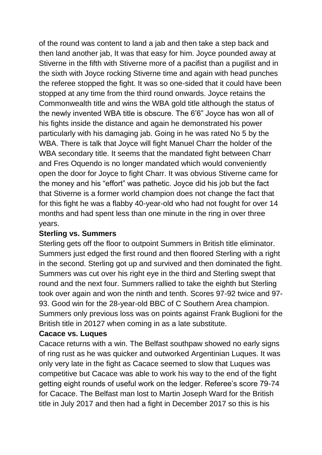of the round was content to land a jab and then take a step back and then land another jab, It was that easy for him. Joyce pounded away at Stiverne in the fifth with Stiverne more of a pacifist than a pugilist and in the sixth with Joyce rocking Stiverne time and again with head punches the referee stopped the fight. It was so one-sided that it could have been stopped at any time from the third round onwards. Joyce retains the Commonwealth title and wins the WBA gold title although the status of the newly invented WBA title is obscure. The 6'6" Joyce has won all of his fights inside the distance and again he demonstrated his power particularly with his damaging jab. Going in he was rated No 5 by the WBA. There is talk that Joyce will fight Manuel Charr the holder of the WBA secondary title. It seems that the mandated fight between Charr and Fres Oquendo is no longer mandated which would conveniently open the door for Joyce to fight Charr. It was obvious Stiverne came for the money and his "effort" was pathetic. Joyce did his job but the fact that Stiverne is a former world champion does not change the fact that for this fight he was a flabby 40-year-old who had not fought for over 14 months and had spent less than one minute in the ring in over three years.

### **Sterling vs. Summers**

Sterling gets off the floor to outpoint Summers in British title eliminator. Summers just edged the first round and then floored Sterling with a right in the second. Sterling got up and survived and then dominated the fight. Summers was cut over his right eye in the third and Sterling swept that round and the next four. Summers rallied to take the eighth but Sterling took over again and won the ninth and tenth. Scores 97-92 twice and 97- 93. Good win for the 28-year-old BBC of C Southern Area champion. Summers only previous loss was on points against Frank Buglioni for the British title in 20127 when coming in as a late substitute.

### **Cacace vs. Luques**

Cacace returns with a win. The Belfast southpaw showed no early signs of ring rust as he was quicker and outworked Argentinian Luques. It was only very late in the fight as Cacace seemed to slow that Luques was competitive but Cacace was able to work his way to the end of the fight getting eight rounds of useful work on the ledger. Referee's score 79-74 for Cacace. The Belfast man lost to Martin Joseph Ward for the British title in July 2017 and then had a fight in December 2017 so this is his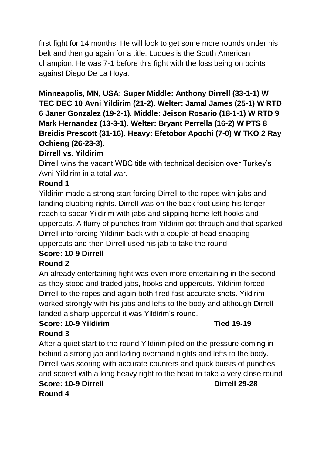first fight for 14 months. He will look to get some more rounds under his belt and then go again for a title. Luques is the South American champion. He was 7-1 before this fight with the loss being on points against Diego De La Hoya.

# **Minneapolis, MN, USA: Super Middle: Anthony Dirrell (33-1-1) W**

**TEC DEC 10 Avni Yildirim (21-2). Welter: Jamal James (25-1) W RTD 6 Janer Gonzalez (19-2-1). Middle: Jeison Rosario (18-1-1) W RTD 9 Mark Hernandez (13-3-1). Welter: Bryant Perrella (16-2) W PTS 8 Breidis Prescott (31-16). Heavy: Efetobor Apochi (7-0) W TKO 2 Ray Ochieng (26-23-3).**

### **Dirrell vs. Yildirim**

Dirrell wins the vacant WBC title with technical decision over Turkey's Avni Yildirim in a total war.

### **Round 1**

Yildirim made a strong start forcing Dirrell to the ropes with jabs and landing clubbing rights. Dirrell was on the back foot using his longer reach to spear Yildirim with jabs and slipping home left hooks and uppercuts. A flurry of punches from Yildirim got through and that sparked Dirrell into forcing Yildirim back with a couple of head-snapping uppercuts and then Dirrell used his jab to take the round

## **Score: 10-9 Dirrell**

### **Round 2**

An already entertaining fight was even more entertaining in the second as they stood and traded jabs, hooks and uppercuts. Yildirim forced Dirrell to the ropes and again both fired fast accurate shots. Yildirim worked strongly with his jabs and lefts to the body and although Dirrell landed a sharp uppercut it was Yildirim's round.

# **Score: 10-9 Yildirim Tied 19-19**

## **Round 3**

After a quiet start to the round Yildirim piled on the pressure coming in behind a strong jab and lading overhand nights and lefts to the body. Dirrell was scoring with accurate counters and quick bursts of punches and scored with a long heavy right to the head to take a very close round **Score: 10-9 Dirrell Dirrell 29-28 Round 4**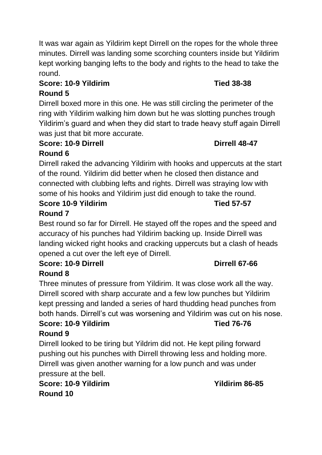It was war again as Yildirim kept Dirrell on the ropes for the whole three minutes. Dirrell was landing some scorching counters inside but Yildirim kept working banging lefts to the body and rights to the head to take the round.

### **Score: 10-9 Yildirim Tied 38-38**

# **Round 5**

Dirrell boxed more in this one. He was still circling the perimeter of the ring with Yildirim walking him down but he was slotting punches trough Yildirim's guard and when they did start to trade heavy stuff again Dirrell was just that bit more accurate.

### **Score: 10-9 Dirrell Dirrell 48-47 Round 6**

Dirrell raked the advancing Yildirim with hooks and uppercuts at the start of the round. Yildirim did better when he closed then distance and connected with clubbing lefts and rights. Dirrell was straying low with some of his hooks and Yildirim just did enough to take the round.

### **Score 10-9 Yildirim Tied 57-57 Round 7**

Best round so far for Dirrell. He stayed off the ropes and the speed and accuracy of his punches had Yildirim backing up. Inside Dirrell was landing wicked right hooks and cracking uppercuts but a clash of heads opened a cut over the left eye of Dirrell.

# **Score: 10-9 Dirrell Dirrell 67-66**

# **Round 8**

Three minutes of pressure from Yildirim. It was close work all the way. Dirrell scored with sharp accurate and a few low punches but Yildirim kept pressing and landed a series of hard thudding head punches from both hands. Dirrell's cut was worsening and Yildirim was cut on his nose. **Score: 10-9 Yildirim Tied 76-76**

# **Round 9**

Dirrell looked to be tiring but Yildrim did not. He kept piling forward pushing out his punches with Dirrell throwing less and holding more. Dirrell was given another warning for a low punch and was under pressure at the bell.

**Score: 10-9 Yildirim Yildirim 86-85 Round 10**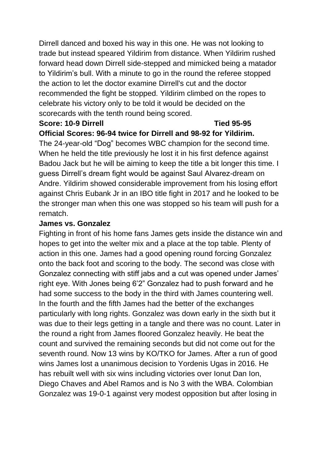Dirrell danced and boxed his way in this one. He was not looking to trade but instead speared Yildirim from distance. When Yildirim rushed forward head down Dirrell side-stepped and mimicked being a matador to Yildirim's bull. With a minute to go in the round the referee stopped the action to let the doctor examine Dirrell's cut and the doctor recommended the fight be stopped. Yildirim climbed on the ropes to celebrate his victory only to be told it would be decided on the scorecards with the tenth round being scored.

## **Score: 10-9 Dirrell Tied 95-95**

**Official Scores: 96-94 twice for Dirrell and 98-92 for Yildirim.**

The 24-year-old "Dog" becomes WBC champion for the second time. When he held the title previously he lost it in his first defence against Badou Jack but he will be aiming to keep the title a bit longer this time. I guess Dirrell's dream fight would be against Saul Alvarez-dream on Andre. Yildirim showed considerable improvement from his losing effort against Chris Eubank Jr in an IBO title fight in 2017 and he looked to be the stronger man when this one was stopped so his team will push for a rematch.

### **James vs. Gonzalez**

Fighting in front of his home fans James gets inside the distance win and hopes to get into the welter mix and a place at the top table. Plenty of action in this one. James had a good opening round forcing Gonzalez onto the back foot and scoring to the body. The second was close with Gonzalez connecting with stiff jabs and a cut was opened under James' right eye. With Jones being 6'2" Gonzalez had to push forward and he had some success to the body in the third with James countering well. In the fourth and the fifth James had the better of the exchanges particularly with long rights. Gonzalez was down early in the sixth but it was due to their legs getting in a tangle and there was no count. Later in the round a right from James floored Gonzalez heavily. He beat the count and survived the remaining seconds but did not come out for the seventh round. Now 13 wins by KO/TKO for James. After a run of good wins James lost a unanimous decision to Yordenis Ugas in 2016. He has rebuilt well with six wins including victories over Ionut Dan Ion, Diego Chaves and Abel Ramos and is No 3 with the WBA. Colombian Gonzalez was 19-0-1 against very modest opposition but after losing in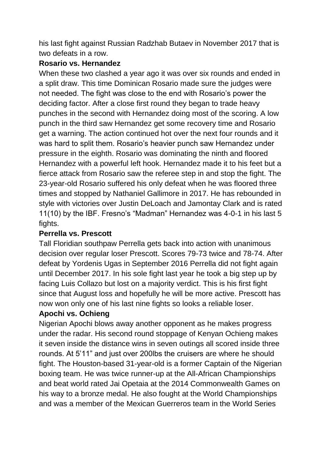his last fight against Russian Radzhab Butaev in November 2017 that is two defeats in a row.

### **Rosario vs. Hernandez**

When these two clashed a year ago it was over six rounds and ended in a split draw. This time Dominican Rosario made sure the judges were not needed. The fight was close to the end with Rosario's power the deciding factor. After a close first round they began to trade heavy punches in the second with Hernandez doing most of the scoring. A low punch in the third saw Hernandez get some recovery time and Rosario get a warning. The action continued hot over the next four rounds and it was hard to split them. Rosario's heavier punch saw Hernandez under pressure in the eighth. Rosario was dominating the ninth and floored Hernandez with a powerful left hook. Hernandez made it to his feet but a fierce attack from Rosario saw the referee step in and stop the fight. The 23-year-old Rosario suffered his only defeat when he was floored three times and stopped by Nathaniel Gallimore in 2017. He has rebounded in style with victories over Justin DeLoach and Jamontay Clark and is rated 11(10) by the IBF. Fresno's "Madman" Hernandez was 4-0-1 in his last 5 fights.

## **Perrella vs. Prescott**

Tall Floridian southpaw Perrella gets back into action with unanimous decision over regular loser Prescott. Scores 79-73 twice and 78-74. After defeat by Yordenis Ugas in September 2016 Perrella did not fight again until December 2017. In his sole fight last year he took a big step up by facing Luis Collazo but lost on a majority verdict. This is his first fight since that August loss and hopefully he will be more active. Prescott has now won only one of his last nine fights so looks a reliable loser.

## **Apochi vs. Ochieng**

Nigerian Apochi blows away another opponent as he makes progress under the radar. His second round stoppage of Kenyan Ochieng makes it seven inside the distance wins in seven outings all scored inside three rounds. At 5'11" and just over 200lbs the cruisers are where he should fight. The Houston-based 31-year-old is a former Captain of the Nigerian boxing team. He was twice runner-up at the All-African Championships and beat world rated Jai Opetaia at the 2014 Commonwealth Games on his way to a bronze medal. He also fought at the World Championships and was a member of the Mexican Guerreros team in the World Series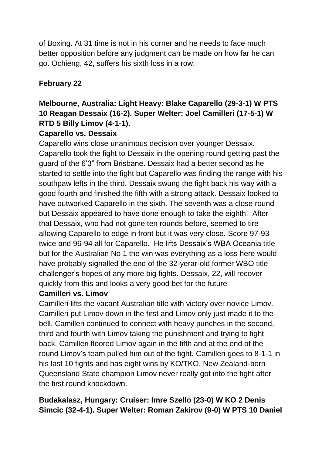of Boxing. At 31 time is not in his corner and he needs to face much better opposition before any judgment can be made on how far he can go. Ochieng, 42, suffers his sixth loss in a row.

## **February 22**

# **Melbourne, Australia: Light Heavy: Blake Caparello (29-3-1) W PTS 10 Reagan Dessaix (16-2). Super Welter: Joel Camilleri (17-5-1) W RTD 5 Billy Limov (4-1-1).**

### **Caparello vs. Dessaix**

Caparello wins close unanimous decision over younger Dessaix. Caparello took the fight to Dessaix in the opening round getting past the guard of the 6'3" from Brisbane. Dessaix had a better second as he started to settle into the fight but Caparello was finding the range with his southpaw lefts in the third. Dessaix swung the fight back his way with a good fourth and finished the fifth with a strong attack. Dessaix looked to have outworked Caparello in the sixth. The seventh was a close round but Dessaix appeared to have done enough to take the eighth, After that Dessaix, who had not gone ten rounds before, seemed to tire allowing Caparello to edge in front but it was very close. Score 97-93 twice and 96-94 all for Caparello. He lifts Dessaix's WBA Oceania title but for the Australian No 1 the win was everything as a loss here would have probably signalled the end of the 32-yerar-old former WBO title challenger's hopes of any more big fights. Dessaix, 22, will recover quickly from this and looks a very good bet for the future

### **Camilleri vs. Limov**

Camilleri lifts the vacant Australian title with victory over novice Limov. Camilleri put Limov down in the first and Limov only just made it to the bell. Camilleri continued to connect with heavy punches in the second, third and fourth with Limov taking the punishment and trying to fight back. Camilleri floored Limov again in the fifth and at the end of the round Limov's team pulled him out of the fight. Camilleri goes to 8-1-1 in his last 10 fights and has eight wins by KO/TKO. New Zealand-born Queensland State champion Limov never really got into the fight after the first round knockdown.

# **Budakalasz, Hungary: Cruiser: Imre Szello (23-0) W KO 2 Denis Simcic (32-4-1). Super Welter: Roman Zakirov (9-0) W PTS 10 Daniel**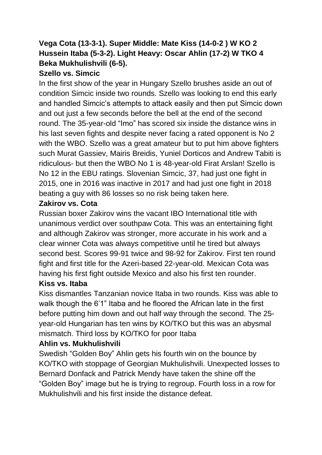## **Vega Cota (13-3-1). Super Middle: Mate Kiss (14-0-2 ) W KO 2 Hussein Itaba (5-3-2). Light Heavy: Oscar Ahlin (17-2) W TKO 4 Beka Mukhulishvili (6-5).**

### **Szello vs. Simcic**

In the first show of the year in Hungary Szello brushes aside an out of condition Simcic inside two rounds. Szello was looking to end this early and handled Simcic's attempts to attack easily and then put Simcic down and out just a few seconds before the bell at the end of the second round. The 35-year-old "Imo" has scored six inside the distance wins in his last seven fights and despite never facing a rated opponent is No 2 with the WBO. Szello was a great amateur but to put him above fighters such Murat Gassiev, Mairis Breidis, Yuniel Dorticos and Andrew Tabiti is ridiculous- but then the WBO No 1 is 48-year-old Firat Arslan! Szello is No 12 in the EBU ratings. Slovenian Simcic, 37, had just one fight in 2015, one in 2016 was inactive in 2017 and had just one fight in 2018 beating a guy with 86 losses so no risk being taken here.

### **Zakirov vs. Cota**

Russian boxer Zakirov wins the vacant IBO International title with unanimous verdict over southpaw Cota. This was an entertaining fight and although Zakirov was stronger, more accurate in his work and a clear winner Cota was always competitive until he tired but always second best. Scores 99-91 twice and 98-92 for Zakirov. First ten round fight and first title for the Azeri-based 22-year-old. Mexican Cota was having his first fight outside Mexico and also his first ten rounder.

### **Kiss vs. Itaba**

Kiss dismantles Tanzanian novice Itaba in two rounds. Kiss was able to walk though the 6'1" Itaba and he floored the African late in the first before putting him down and out half way through the second. The 25 year-old Hungarian has ten wins by KO/TKO but this was an abysmal mismatch. Third loss by KO/TKO for poor Itaba

## **Ahlin vs. Mukhulishvili**

Swedish "Golden Boy" Ahlin gets his fourth win on the bounce by KO/TKO with stoppage of Georgian Mukhulishvili. Unexpected losses to Bernard Donfack and Patrick Mendy have taken the shine off the "Golden Boy" image but he is trying to regroup. Fourth loss in a row for Mukhulishvili and his first inside the distance defeat.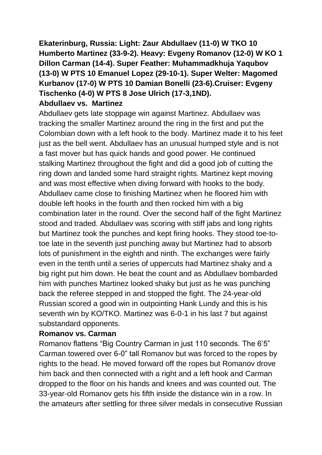**Ekaterinburg, Russia: Light: Zaur Abdullaev (11-0) W TKO 10 Humberto Martinez (33-9-2). Heavy: Evgeny Romanov (12-0) W KO 1 Dillon Carman (14-4). Super Feather: Muhammadkhuja Yaqubov (13-0) W PTS 10 Emanuel Lopez (29-10-1). Super Welter: Magomed Kurbanov (17-0) W PTS 10 Damian Bonelli (23-6).Cruiser: Evgeny Tischenko (4-0) W PTS 8 Jose Ulrich (17-3,1ND).**

### **Abdullaev vs. Martinez**

Abdullaev gets late stoppage win against Martinez. Abdullaev was tracking the smaller Martinez around the ring in the first and put the Colombian down with a left hook to the body. Martinez made it to his feet just as the bell went. Abdullaev has an unusual humped style and is not a fast mover but has quick hands and good power. He continued stalking Martinez throughout the fight and did a good job of cutting the ring down and landed some hard straight rights. Martinez kept moving and was most effective when diving forward with hooks to the body. Abdullaev came close to finishing Martinez when he floored him with double left hooks in the fourth and then rocked him with a big combination later in the round. Over the second half of the fight Martinez stood and traded. Abdullaev was scoring with stiff jabs and long rights but Martinez took the punches and kept firing hooks. They stood toe-totoe late in the seventh just punching away but Martinez had to absorb lots of punishment in the eighth and ninth. The exchanges were fairly even in the tenth until a series of uppercuts had Martinez shaky and a big right put him down. He beat the count and as Abdullaev bombarded him with punches Martinez looked shaky but just as he was punching back the referee stepped in and stopped the fight. The 24-year-old Russian scored a good win in outpointing Hank Lundy and this is his seventh win by KO/TKO. Martinez was 6-0-1 in his last 7 but against substandard opponents.

### **Romanov vs. Carman**

Romanov flattens "Big Country Carman in just 110 seconds. The 6'5" Carman towered over 6-0" tall Romanov but was forced to the ropes by rights to the head. He moved forward off the ropes but Romanov drove him back and then connected with a right and a left hook and Carman dropped to the floor on his hands and knees and was counted out. The 33-year-old Romanov gets his fifth inside the distance win in a row. In the amateurs after settling for three silver medals in consecutive Russian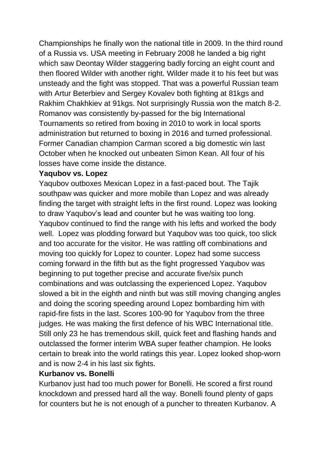Championships he finally won the national title in 2009. In the third round of a Russia vs. USA meeting in February 2008 he landed a big right which saw Deontay Wilder staggering badly forcing an eight count and then floored Wilder with another right. Wilder made it to his feet but was unsteady and the fight was stopped. That was a powerful Russian team with Artur Beterbiev and Sergey Kovalev both fighting at 81kgs and Rakhim Chakhkiev at 91kgs. Not surprisingly Russia won the match 8-2. Romanov was consistently by-passed for the big International Tournaments so retired from boxing in 2010 to work in local sports administration but returned to boxing in 2016 and turned professional. Former Canadian champion Carman scored a big domestic win last October when he knocked out unbeaten Simon Kean. All four of his losses have come inside the distance.

### **Yaqubov vs. Lopez**

Yaqubov outboxes Mexican Lopez in a fast-paced bout. The Tajik southpaw was quicker and more mobile than Lopez and was already finding the target with straight lefts in the first round. Lopez was looking to draw Yaqubov's lead and counter but he was waiting too long. Yaqubov continued to find the range with his lefts and worked the body well. Lopez was plodding forward but Yaqubov was too quick, too slick and too accurate for the visitor. He was rattling off combinations and moving too quickly for Lopez to counter. Lopez had some success coming forward in the fifth but as the fight progressed Yaqubov was beginning to put together precise and accurate five/six punch combinations and was outclassing the experienced Lopez. Yaqubov slowed a bit in the eighth and ninth but was still moving changing angles and doing the scoring speeding around Lopez bombarding him with rapid-fire fists in the last. Scores 100-90 for Yaqubov from the three judges. He was making the first defence of his WBC International title. Still only 23 he has tremendous skill, quick feet and flashing hands and outclassed the former interim WBA super feather champion. He looks certain to break into the world ratings this year. Lopez looked shop-worn and is now 2-4 in his last six fights.

### **Kurbanov vs. Bonelli**

Kurbanov just had too much power for Bonelli. He scored a first round knockdown and pressed hard all the way. Bonelli found plenty of gaps for counters but he is not enough of a puncher to threaten Kurbanov. A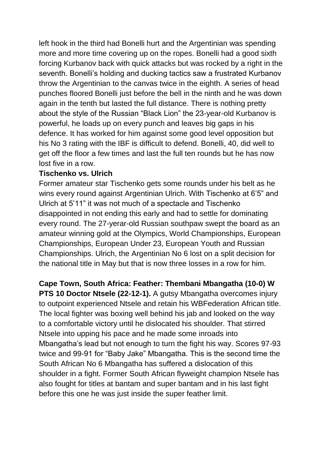left hook in the third had Bonelli hurt and the Argentinian was spending more and more time covering up on the ropes. Bonelli had a good sixth forcing Kurbanov back with quick attacks but was rocked by a right in the seventh. Bonelli's holding and ducking tactics saw a frustrated Kurbanov throw the Argentinian to the canvas twice in the eighth. A series of head punches floored Bonelli just before the bell in the ninth and he was down again in the tenth but lasted the full distance. There is nothing pretty about the style of the Russian "Black Lion" the 23-year-old Kurbanov is powerful, he loads up on every punch and leaves big gaps in his defence. It has worked for him against some good level opposition but his No 3 rating with the IBF is difficult to defend. Bonelli, 40, did well to get off the floor a few times and last the full ten rounds but he has now lost five in a row.

### **Tischenko vs. Ulrich**

Former amateur star Tischenko gets some rounds under his belt as he wins every round against Argentinian Ulrich. With Tischenko at 6'5" and Ulrich at 5'11" it was not much of a spectacle and Tischenko disappointed in not ending this early and had to settle for dominating every round. The 27-yerar-old Russian southpaw swept the board as an amateur winning gold at the Olympics, World Championships, European Championships, European Under 23, European Youth and Russian Championships. Ulrich, the Argentinian No 6 lost on a split decision for the national title in May but that is now three losses in a row for him.

### **Cape Town, South Africa: Feather: Thembani Mbangatha (10-0) W**

**PTS 10 Doctor Ntsele (22-12-1).** A gutsy Mbangatha overcomes injury to outpoint experienced Ntsele and retain his WBFederation African title. The local fighter was boxing well behind his jab and looked on the way to a comfortable victory until he dislocated his shoulder. That stirred Ntsele into upping his pace and he made some inroads into Mbangatha's lead but not enough to turn the fight his way. Scores 97-93 twice and 99-91 for "Baby Jake" Mbangatha. This is the second time the South African No 6 Mbangatha has suffered a dislocation of this shoulder in a fight. Former South African flyweight champion Ntsele has also fought for titles at bantam and super bantam and in his last fight before this one he was just inside the super feather limit.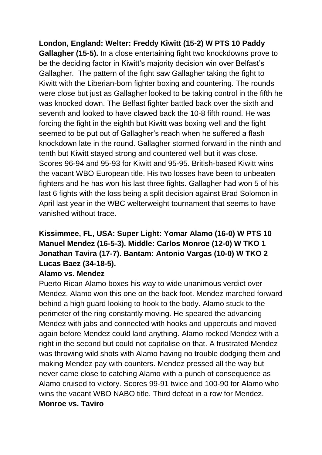**London, England: Welter: Freddy Kiwitt (15-2) W PTS 10 Paddy Gallagher (15-5).** In a close entertaining fight two knockdowns prove to be the deciding factor in Kiwitt's majority decision win over Belfast's Gallagher. The pattern of the fight saw Gallagher taking the fight to Kiwitt with the Liberian-born fighter boxing and countering. The rounds were close but just as Gallagher looked to be taking control in the fifth he was knocked down. The Belfast fighter battled back over the sixth and seventh and looked to have clawed back the 10-8 fifth round. He was forcing the fight in the eighth but Kiwitt was boxing well and the fight seemed to be put out of Gallagher's reach when he suffered a flash knockdown late in the round. Gallagher stormed forward in the ninth and tenth but Kiwitt stayed strong and countered well but it was close. Scores 96-94 and 95-93 for Kiwitt and 95-95. British-based Kiwitt wins the vacant WBO European title. His two losses have been to unbeaten fighters and he has won his last three fights. Gallagher had won 5 of his last 6 fights with the loss being a split decision against Brad Solomon in April last year in the WBC welterweight tournament that seems to have vanished without trace.

# **Kissimmee, FL, USA: Super Light: Yomar Alamo (16-0) W PTS 10 Manuel Mendez (16-5-3). Middle: Carlos Monroe (12-0) W TKO 1 Jonathan Tavira (17-7). Bantam: Antonio Vargas (10-0) W TKO 2 Lucas Baez (34-18-5).**

### **Alamo vs. Mendez**

Puerto Rican Alamo boxes his way to wide unanimous verdict over Mendez. Alamo won this one on the back foot. Mendez marched forward behind a high guard looking to hook to the body. Alamo stuck to the perimeter of the ring constantly moving. He speared the advancing Mendez with jabs and connected with hooks and uppercuts and moved again before Mendez could land anything. Alamo rocked Mendez with a right in the second but could not capitalise on that. A frustrated Mendez was throwing wild shots with Alamo having no trouble dodging them and making Mendez pay with counters. Mendez pressed all the way but never came close to catching Alamo with a punch of consequence as Alamo cruised to victory. Scores 99-91 twice and 100-90 for Alamo who wins the vacant WBO NABO title. Third defeat in a row for Mendez. **Monroe vs. Taviro**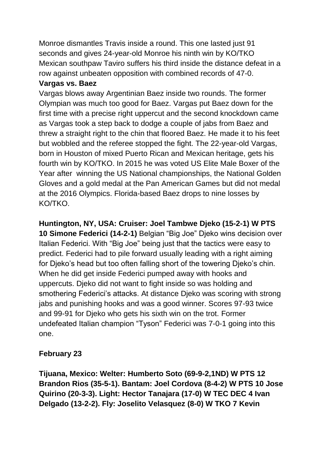Monroe dismantles Travis inside a round. This one lasted just 91 seconds and gives 24-year-old Monroe his ninth win by KO/TKO Mexican southpaw Taviro suffers his third inside the distance defeat in a row against unbeaten opposition with combined records of 47-0.

### **Vargas vs. Baez**

Vargas blows away Argentinian Baez inside two rounds. The former Olympian was much too good for Baez. Vargas put Baez down for the first time with a precise right uppercut and the second knockdown came as Vargas took a step back to dodge a couple of jabs from Baez and threw a straight right to the chin that floored Baez. He made it to his feet but wobbled and the referee stopped the fight. The 22-year-old Vargas, born in Houston of mixed Puerto Rican and Mexican heritage, gets his fourth win by KO/TKO. In 2015 he was voted US Elite Male Boxer of the Year after winning the US National championships, the National Golden Gloves and a gold medal at the Pan American Games but did not medal at the 2016 Olympics. Florida-based Baez drops to nine losses by KO/TKO.

**Huntington, NY, USA: Cruiser: Joel Tambwe Djeko (15-2-1) W PTS 10 Simone Federici (14-2-1)** Belgian "Big Joe" Djeko wins decision over Italian Federici. With "Big Joe" being just that the tactics were easy to predict. Federici had to pile forward usually leading with a right aiming for Djeko's head but too often falling short of the towering Djeko's chin. When he did get inside Federici pumped away with hooks and uppercuts. Djeko did not want to fight inside so was holding and smothering Federici's attacks. At distance Djeko was scoring with strong jabs and punishing hooks and was a good winner. Scores 97-93 twice and 99-91 for Djeko who gets his sixth win on the trot. Former undefeated Italian champion "Tyson" Federici was 7-0-1 going into this one.

## **February 23**

**Tijuana, Mexico: Welter: Humberto Soto (69-9-2,1ND) W PTS 12 Brandon Rios (35-5-1). Bantam: Joel Cordova (8-4-2) W PTS 10 Jose Quirino (20-3-3). Light: Hector Tanajara (17-0) W TEC DEC 4 Ivan Delgado (13-2-2). Fly: Joselito Velasquez (8-0) W TKO 7 Kevin**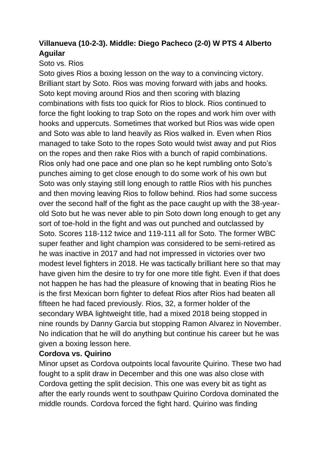# **Villanueva (10-2-3). Middle: Diego Pacheco (2-0) W PTS 4 Alberto Aguilar**

### Soto vs. Rios

Soto gives Rios a boxing lesson on the way to a convincing victory. Brilliant start by Soto. Rios was moving forward with jabs and hooks. Soto kept moving around Rios and then scoring with blazing combinations with fists too quick for Rios to block. Rios continued to force the fight looking to trap Soto on the ropes and work him over with hooks and uppercuts. Sometimes that worked but Rios was wide open and Soto was able to land heavily as Rios walked in. Even when Rios managed to take Soto to the ropes Soto would twist away and put Rios on the ropes and then rake Rios with a bunch of rapid combinations. Rios only had one pace and one plan so he kept rumbling onto Soto's punches aiming to get close enough to do some work of his own but Soto was only staying still long enough to rattle Rios with his punches and then moving leaving Rios to follow behind. Rios had some success over the second half of the fight as the pace caught up with the 38-yearold Soto but he was never able to pin Soto down long enough to get any sort of toe-hold in the fight and was out punched and outclassed by Soto. Scores 118-112 twice and 119-111 all for Soto. The former WBC super feather and light champion was considered to be semi-retired as he was inactive in 2017 and had not impressed in victories over two modest level fighters in 2018. He was tactically brilliant here so that may have given him the desire to try for one more title fight. Even if that does not happen he has had the pleasure of knowing that in beating Rios he is the first Mexican born fighter to defeat Rios after Rios had beaten all fifteen he had faced previously. Rios, 32, a former holder of the secondary WBA lightweight title, had a mixed 2018 being stopped in nine rounds by Danny Garcia but stopping Ramon Alvarez in November. No indication that he will do anything but continue his career but he was given a boxing lesson here.

## **Cordova vs. Quirino**

Minor upset as Cordova outpoints local favourite Quirino. These two had fought to a split draw in December and this one was also close with Cordova getting the split decision. This one was every bit as tight as after the early rounds went to southpaw Quirino Cordova dominated the middle rounds. Cordova forced the fight hard. Quirino was finding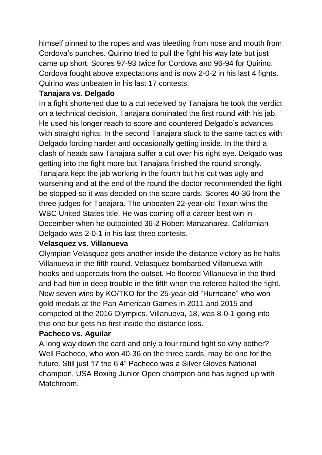himself pinned to the ropes and was bleeding from nose and mouth from Cordova's punches. Quirino tried to pull the fight his way late but just came up short. Scores 97-93 twice for Cordova and 96-94 for Quirino. Cordova fought above expectations and is now 2-0-2 in his last 4 fights. Quirino was unbeaten in his last 17 contests.

### **Tanajara vs. Delgado**

In a fight shortened due to a cut received by Tanajara he took the verdict on a technical decision. Tanajara dominated the first round with his jab. He used his longer reach to score and countered Delgado's advances with straight rights. In the second Tanajara stuck to the same tactics with Delgado forcing harder and occasionally getting inside. In the third a clash of heads saw Tanajara suffer a cut over his right eye. Delgado was getting into the fight more but Tanajara finished the round strongly. Tanajara kept the jab working in the fourth but his cut was ugly and worsening and at the end of the round the doctor recommended the fight be stopped so it was decided on the score cards. Scores 40-36 from the three judges for Tanajara. The unbeaten 22-year-old Texan wins the WBC United States title. He was coming off a career best win in December when he outpointed 36-2 Robert Manzanarez. Californian Delgado was 2-0-1 in his last three contests.

### **Velasquez vs. Villanueva**

Olympian Velasquez gets another inside the distance victory as he halts Villanueva in the fifth round. Velasquez bombarded Villanueva with hooks and uppercuts from the outset. He floored Villanueva in the third and had him in deep trouble in the fifth when the referee halted the fight. Now seven wins by KO/TKO for the 25-year-old "Hurricane" who won gold medals at the Pan American Games in 2011 and 2015 and competed at the 2016 Olympics. Villanueva, 18, was 8-0-1 going into this one bur gets his first inside the distance loss.

### **Pacheco vs. Aguilar**

A long way down the card and only a four round fight so why bother? Well Pacheco, who won 40-36 on the three cards, may be one for the future. Still just 17 the 6'4" Pacheco was a Silver Gloves National champion, USA Boxing Junior Open champion and has signed up with Matchroom.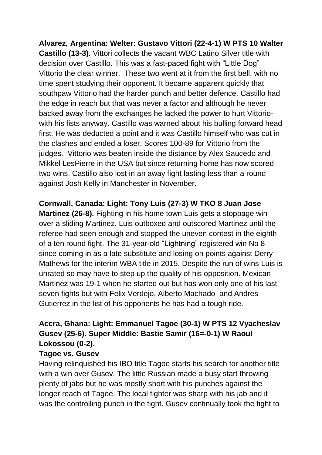**Alvarez, Argentina: Welter: Gustavo Vittori (22-4-1) W PTS 10 Walter Castillo (13-3).** Vittori collects the vacant WBC Latino Silver title with decision over Castillo. This was a fast-paced fight with "Little Dog" Vittorio the clear winner. These two went at it from the first bell, with no time spent studying their opponent. It became apparent quickly that southpaw Vittorio had the harder punch and better defence. Castillo had the edge in reach but that was never a factor and although he never backed away from the exchanges he lacked the power to hurt Vittoriowith his fists anyway. Castillo was warned about his bulling forward head first. He was deducted a point and it was Castillo himself who was cut in the clashes and ended a loser. Scores 100-89 for Vittorio from the judges. Vittorio was beaten inside the distance by Alex Saucedo and Mikkel LesPierre in the USA but since returning home has now scored two wins. Castillo also lost in an away fight lasting less than a round against Josh Kelly in Manchester in November.

**Cornwall, Canada: Light: Tony Luis (27-3) W TKO 8 Juan Jose Martinez (26-8).** Fighting in his home town Luis gets a stoppage win over a sliding Martinez. Luis outboxed and outscored Martinez until the referee had seen enough and stopped the uneven contest in the eighth of a ten round fight. The 31-year-old "Lightning" registered win No 8 since coming in as a late substitute and losing on points against Derry Mathews for the interim WBA title in 2015. Despite the run of wins Luis is unrated so may have to step up the quality of his opposition. Mexican Martinez was 19-1 when he started out but has won only one of his last seven fights but with Felix Verdejo, Alberto Machado and Andres Gutierrez in the list of his opponents he has had a tough ride.

# **Accra, Ghana: Light: Emmanuel Tagoe (30-1) W PTS 12 Vyacheslav Gusev (25-6). Super Middle: Bastie Samir (16=-0-1) W Raoul Lokossou (0-2).**

### **Tagoe vs. Gusev**

Having relinquished his IBO title Tagoe starts his search for another title with a win over Gusev. The little Russian made a busy start throwing plenty of jabs but he was mostly short with his punches against the longer reach of Tagoe. The local fighter was sharp with his jab and it was the controlling punch in the fight. Gusev continually took the fight to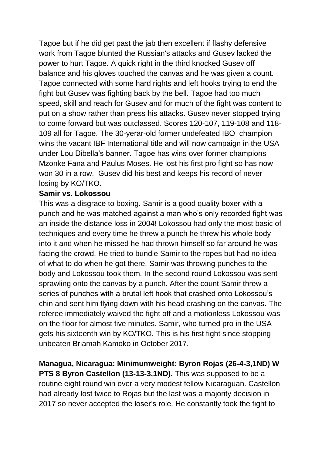Tagoe but if he did get past the jab then excellent if flashy defensive work from Tagoe blunted the Russian's attacks and Gusev lacked the power to hurt Tagoe. A quick right in the third knocked Gusev off balance and his gloves touched the canvas and he was given a count. Tagoe connected with some hard rights and left hooks trying to end the fight but Gusev was fighting back by the bell. Tagoe had too much speed, skill and reach for Gusev and for much of the fight was content to put on a show rather than press his attacks. Gusev never stopped trying to come forward but was outclassed. Scores 120-107, 119-108 and 118- 109 all for Tagoe. The 30-yerar-old former undefeated IBO champion wins the vacant IBF International title and will now campaign in the USA under Lou Dibella's banner. Tagoe has wins over former champions Mzonke Fana and Paulus Moses. He lost his first pro fight so has now won 30 in a row. Gusev did his best and keeps his record of never losing by KO/TKO.

### **Samir vs. Lokossou**

This was a disgrace to boxing. Samir is a good quality boxer with a punch and he was matched against a man who's only recorded fight was an inside the distance loss in 2004! Lokossou had only the most basic of techniques and every time he threw a punch he threw his whole body into it and when he missed he had thrown himself so far around he was facing the crowd. He tried to bundle Samir to the ropes but had no idea of what to do when he got there. Samir was throwing punches to the body and Lokossou took them. In the second round Lokossou was sent sprawling onto the canvas by a punch. After the count Samir threw a series of punches with a brutal left hook that crashed onto Lokossou's chin and sent him flying down with his head crashing on the canvas. The referee immediately waived the fight off and a motionless Lokossou was on the floor for almost five minutes. Samir, who turned pro in the USA gets his sixteenth win by KO/TKO. This is his first fight since stopping unbeaten Briamah Kamoko in October 2017.

**Managua, Nicaragua: Minimumweight: Byron Rojas (26-4-3,1ND) W PTS 8 Byron Castellon (13-13-3,1ND).** This was supposed to be a routine eight round win over a very modest fellow Nicaraguan. Castellon had already lost twice to Rojas but the last was a majority decision in 2017 so never accepted the loser's role. He constantly took the fight to